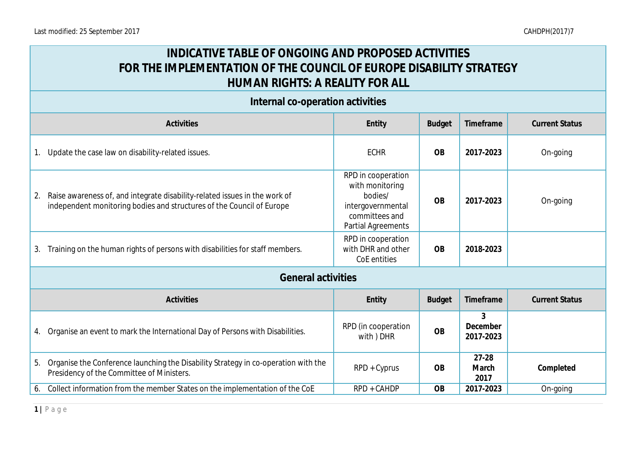## **INDICATIVE TABLE OF ONGOING AND PROPOSED ACTIVITIES FOR THE IMPLEMENTATION OF THE COUNCIL OF EUROPE DISABILITY STRATEGY HUMAN RIGHTS: A REALITY FOR ALL**

|                                                                             | Internal co-operation activities                                                                                                                    |                                                                                                               |               |                            |                       |
|-----------------------------------------------------------------------------|-----------------------------------------------------------------------------------------------------------------------------------------------------|---------------------------------------------------------------------------------------------------------------|---------------|----------------------------|-----------------------|
|                                                                             | Activities                                                                                                                                          | Entity                                                                                                        | <b>Budget</b> | Timeframe                  | <b>Current Status</b> |
|                                                                             | Update the case law on disability-related issues.                                                                                                   | <b>ECHR</b>                                                                                                   | <b>OB</b>     | 2017-2023                  | On-going              |
| 2.                                                                          | Raise awareness of, and integrate disability-related issues in the work of<br>independent monitoring bodies and structures of the Council of Europe | RPD in cooperation<br>with monitoring<br>bodies/<br>intergovernmental<br>committees and<br>Partial Agreements | <b>OB</b>     | 2017-2023                  | On-going              |
| 3.                                                                          | Training on the human rights of persons with disabilities for staff members.                                                                        | RPD in cooperation<br>with DHR and other<br>CoE entities                                                      | <b>OB</b>     | 2018-2023                  |                       |
|                                                                             | <b>General activities</b>                                                                                                                           |                                                                                                               |               |                            |                       |
| Activities<br>Entity<br><b>Budget</b><br>Timeframe<br><b>Current Status</b> |                                                                                                                                                     |                                                                                                               |               |                            |                       |
| 4.                                                                          | Organise an event to mark the International Day of Persons with Disabilities.                                                                       | RPD (in cooperation<br>with ) DHR                                                                             | <b>OB</b>     | 3<br>December<br>2017-2023 |                       |
| 5.                                                                          | Organise the Conference launching the Disability Strategy in co-operation with the<br>Presidency of the Committee of Ministers.                     | RPD + Cyprus                                                                                                  | <b>OB</b>     | $27 - 28$<br>March<br>2017 | Completed             |
| 6.                                                                          | Collect information from the member States on the implementation of the CoE                                                                         | RPD + CAHDP                                                                                                   | <b>OB</b>     | 2017-2023                  | On-going              |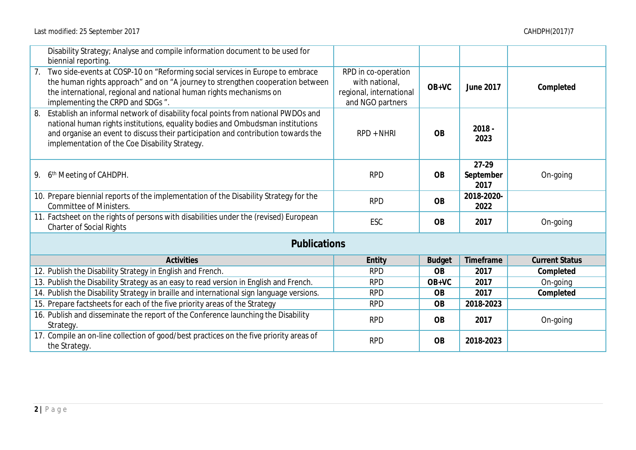| Disability Strategy; Analyse and compile information document to be used for<br>biennial reporting.                                                                                                                                                                                                          |                                                                                      |               |                              |                       |
|--------------------------------------------------------------------------------------------------------------------------------------------------------------------------------------------------------------------------------------------------------------------------------------------------------------|--------------------------------------------------------------------------------------|---------------|------------------------------|-----------------------|
| 7. Two side-events at COSP-10 on "Reforming social services in Europe to embrace<br>the human rights approach" and on "A journey to strengthen cooperation between<br>the international, regional and national human rights mechanisms on<br>implementing the CRPD and SDGs ".                               | RPD in co-operation<br>with national,<br>regional, international<br>and NGO partners | $OB+VC$       | June 2017                    | Completed             |
| 8. Establish an informal network of disability focal points from national PWDOs and<br>national human rights institutions, equality bodies and Ombudsman institutions<br>and organise an event to discuss their participation and contribution towards the<br>implementation of the Coe Disability Strategy. | $RPD + NHRI$                                                                         | <b>OB</b>     | $2018 -$<br>2023             |                       |
| 9. 6 <sup>th</sup> Meeting of CAHDPH.                                                                                                                                                                                                                                                                        | <b>RPD</b>                                                                           | <b>OB</b>     | $27-29$<br>September<br>2017 | On-going              |
| 10. Prepare biennial reports of the implementation of the Disability Strategy for the<br><b>Committee of Ministers.</b>                                                                                                                                                                                      | <b>RPD</b>                                                                           | <b>OB</b>     | 2018-2020-<br>2022           |                       |
| 11. Factsheet on the rights of persons with disabilities under the (revised) European<br><b>Charter of Social Rights</b>                                                                                                                                                                                     | ESC                                                                                  | <b>OB</b>     | 2017                         | On-going              |
| Publications                                                                                                                                                                                                                                                                                                 |                                                                                      |               |                              |                       |
| Activities                                                                                                                                                                                                                                                                                                   | Entity                                                                               | <b>Budget</b> | Timeframe                    | <b>Current Status</b> |
| 12. Publish the Disability Strategy in English and French.                                                                                                                                                                                                                                                   | <b>RPD</b>                                                                           | <b>OB</b>     | 2017                         | Completed             |
| 13. Publish the Disability Strategy as an easy to read version in English and French.                                                                                                                                                                                                                        | <b>RPD</b>                                                                           | $OB+VC$       | 2017                         | On-going              |
| 14. Publish the Disability Strategy in braille and international sign language versions.                                                                                                                                                                                                                     | <b>RPD</b>                                                                           | <b>OB</b>     | 2017                         | Completed             |
| 15. Prepare factsheets for each of the five priority areas of the Strategy                                                                                                                                                                                                                                   | <b>RPD</b>                                                                           | <b>OB</b>     | 2018-2023                    |                       |
| 16. Publish and disseminate the report of the Conference launching the Disability<br>Strategy.                                                                                                                                                                                                               | <b>RPD</b>                                                                           | <b>OB</b>     | 2017                         | On-going              |
| 17. Compile an on-line collection of good/best practices on the five priority areas of<br>the Strategy.                                                                                                                                                                                                      | <b>RPD</b>                                                                           | <b>OB</b>     | 2018-2023                    |                       |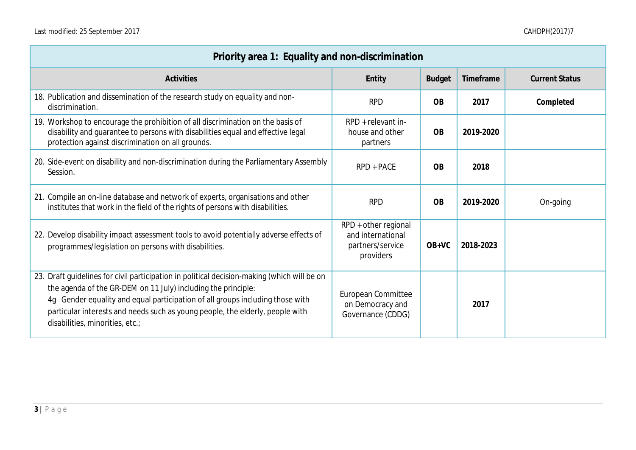| Priority area 1: Equality and non-discrimination                                                                                                                                                                                                                                                                                                                  |                                                                            |               |           |                       |
|-------------------------------------------------------------------------------------------------------------------------------------------------------------------------------------------------------------------------------------------------------------------------------------------------------------------------------------------------------------------|----------------------------------------------------------------------------|---------------|-----------|-----------------------|
| Activities                                                                                                                                                                                                                                                                                                                                                        | Entity                                                                     | <b>Budget</b> | Timeframe | <b>Current Status</b> |
| 18. Publication and dissemination of the research study on equality and non-<br>discrimination.                                                                                                                                                                                                                                                                   | <b>RPD</b>                                                                 | <b>OB</b>     | 2017      | Completed             |
| 19. Workshop to encourage the prohibition of all discrimination on the basis of<br>disability and guarantee to persons with disabilities equal and effective legal<br>protection against discrimination on all grounds.                                                                                                                                           | RPD + relevant in-<br>house and other<br>partners                          | <b>OB</b>     | 2019-2020 |                       |
| 20. Side-event on disability and non-discrimination during the Parliamentary Assembly<br>Session.                                                                                                                                                                                                                                                                 | RPD + PACE                                                                 | <b>OB</b>     | 2018      |                       |
| 21. Compile an on-line database and network of experts, organisations and other<br>institutes that work in the field of the rights of persons with disabilities.                                                                                                                                                                                                  | <b>RPD</b>                                                                 | <b>OB</b>     | 2019-2020 | On-going              |
| 22. Develop disability impact assessment tools to avoid potentially adverse effects of<br>programmes/legislation on persons with disabilities.                                                                                                                                                                                                                    | RPD + other regional<br>and international<br>partners/service<br>providers | $OB+VC$       | 2018-2023 |                       |
| 23. Draft guidelines for civil participation in political decision-making (which will be on<br>the agenda of the GR-DEM on 11 July) including the principle:<br>4g Gender equality and equal participation of all groups including those with<br>particular interests and needs such as young people, the elderly, people with<br>disabilities, minorities, etc.; | European Committee<br>on Democracy and<br>Governance (CDDG)                |               | 2017      |                       |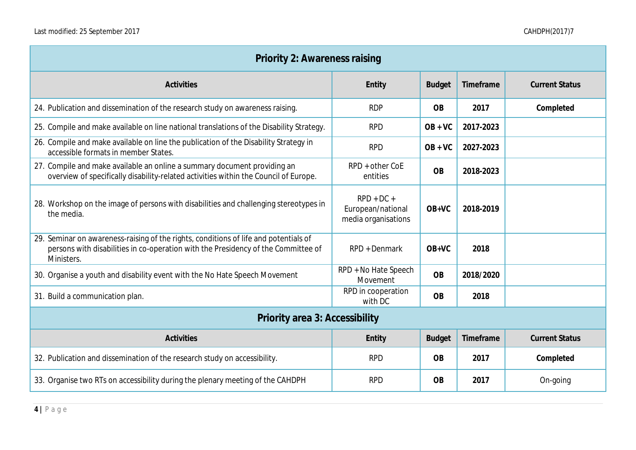| Priority 2: Awareness raising                                                                                                                                                           |                                                          |               |           |                       |
|-----------------------------------------------------------------------------------------------------------------------------------------------------------------------------------------|----------------------------------------------------------|---------------|-----------|-----------------------|
| Activities                                                                                                                                                                              | Entity                                                   | <b>Budget</b> | Timeframe | <b>Current Status</b> |
| 24. Publication and dissemination of the research study on awareness raising.                                                                                                           | <b>RDP</b>                                               | <b>OB</b>     | 2017      | Completed             |
| 25. Compile and make available on line national translations of the Disability Strategy.                                                                                                | <b>RPD</b>                                               | $OB + VC$     | 2017-2023 |                       |
| 26. Compile and make available on line the publication of the Disability Strategy in<br>accessible formats in member States.                                                            | <b>RPD</b>                                               | $OB + VC$     | 2027-2023 |                       |
| 27. Compile and make available an online a summary document providing an<br>overview of specifically disability-related activities within the Council of Europe.                        | RPD + other CoE<br>entities                              | <b>OB</b>     | 2018-2023 |                       |
| 28. Workshop on the image of persons with disabilities and challenging stereotypes in<br>the media.                                                                                     | $RPD + DC +$<br>European/national<br>media organisations | OB+VC         | 2018-2019 |                       |
| 29. Seminar on awareness-raising of the rights, conditions of life and potentials of<br>persons with disabilities in co-operation with the Presidency of the Committee of<br>Ministers. | RPD + Denmark                                            | $OB+VC$       | 2018      |                       |
| 30. Organise a youth and disability event with the No Hate Speech Movement                                                                                                              | RPD + No Hate Speech<br>Movement                         | <b>OB</b>     | 2018/2020 |                       |
| 31. Build a communication plan.                                                                                                                                                         | RPD in cooperation<br>with DC                            | <b>OB</b>     | 2018      |                       |
| Priority area 3: Accessibility                                                                                                                                                          |                                                          |               |           |                       |
| Activities                                                                                                                                                                              | Entity                                                   | <b>Budget</b> | Timeframe | <b>Current Status</b> |
| 32. Publication and dissemination of the research study on accessibility.                                                                                                               | <b>RPD</b>                                               | <b>OB</b>     | 2017      | Completed             |
| 33. Organise two RTs on accessibility during the plenary meeting of the CAHDPH                                                                                                          | <b>RPD</b>                                               | <b>OB</b>     | 2017      | On-going              |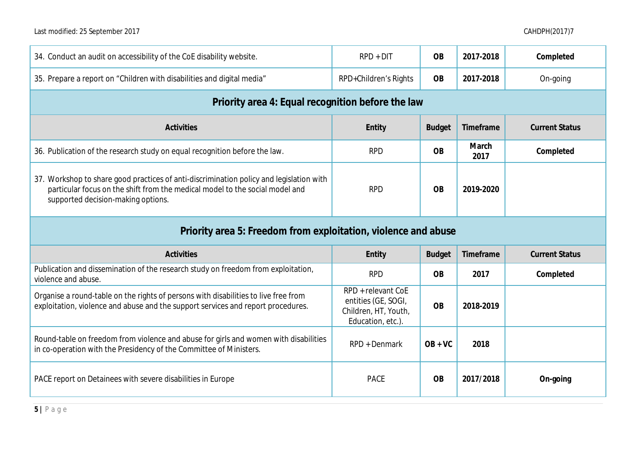| 34. Conduct an audit on accessibility of the CoE disability website.                                                                                                                                          | $RPD + DIT$                                                                            | <b>OB</b>     | 2017-2018     | Completed             |
|---------------------------------------------------------------------------------------------------------------------------------------------------------------------------------------------------------------|----------------------------------------------------------------------------------------|---------------|---------------|-----------------------|
| 35. Prepare a report on "Children with disabilities and digital media"                                                                                                                                        | RPD+Children's Rights                                                                  | <b>OB</b>     | 2017-2018     | On-going              |
| Priority area 4: Equal recognition before the law                                                                                                                                                             |                                                                                        |               |               |                       |
| Activities                                                                                                                                                                                                    | Entity                                                                                 | <b>Budget</b> | Timeframe     | <b>Current Status</b> |
| 36. Publication of the research study on equal recognition before the law.                                                                                                                                    | <b>RPD</b>                                                                             | <b>OB</b>     | March<br>2017 | Completed             |
| 37. Workshop to share good practices of anti-discrimination policy and legislation with<br>particular focus on the shift from the medical model to the social model and<br>supported decision-making options. | <b>RPD</b>                                                                             | <b>OB</b>     | 2019-2020     |                       |
| Priority area 5: Freedom from exploitation, violence and abuse                                                                                                                                                |                                                                                        |               |               |                       |
| <b>Activities</b>                                                                                                                                                                                             | Entity                                                                                 | <b>Budget</b> | Timeframe     | <b>Current Status</b> |
| Publication and dissemination of the research study on freedom from exploitation,<br>violence and abuse.                                                                                                      | <b>RPD</b>                                                                             | <b>OB</b>     | 2017          | Completed             |
| Organise a round-table on the rights of persons with disabilities to live free from<br>exploitation, violence and abuse and the support services and report procedures.                                       | RPD + relevant CoE<br>entities (GE, SOGI,<br>Children, HT, Youth,<br>Education, etc.). | <b>OB</b>     | 2018-2019     |                       |
| Round-table on freedom from violence and abuse for girls and women with disabilities<br>in co-operation with the Presidency of the Committee of Ministers.                                                    | RPD + Denmark                                                                          | $OB + VC$     | 2018          |                       |
| PACE report on Detainees with severe disabilities in Europe                                                                                                                                                   | PACE                                                                                   | <b>OB</b>     | 2017/2018     | On-going              |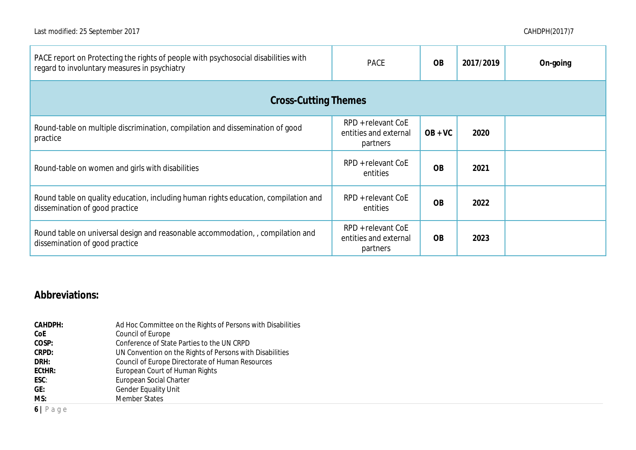| PACE report on Protecting the rights of people with psychosocial disabilities with<br>regard to involuntary measures in psychiatry | <b>PACE</b>                                             | <b>OB</b>      | 2017/2019 | On-going |
|------------------------------------------------------------------------------------------------------------------------------------|---------------------------------------------------------|----------------|-----------|----------|
| <b>Cross-Cutting Themes</b>                                                                                                        |                                                         |                |           |          |
| Round-table on multiple discrimination, compilation and dissemination of good<br>practice                                          | RPD + relevant CoE<br>entities and external<br>partners | $OB + VC$      | 2020      |          |
| Round-table on women and girls with disabilities                                                                                   | RPD + relevant CoE<br>entities                          | <b>OB</b>      | 2021      |          |
| Round table on quality education, including human rights education, compilation and<br>dissemination of good practice              | RPD + relevant CoE<br>entities                          | <b>OB</b>      | 2022      |          |
| Round table on universal design and reasonable accommodation, , compilation and<br>dissemination of good practice                  | RPD + relevant CoE<br>entities and external<br>partners | O <sub>B</sub> | 2023      |          |

## **Abbreviations:**

| CAHDPH: | Ad Hoc Committee on the Rights of Persons with Disabilities |
|---------|-------------------------------------------------------------|
| CoE     | Council of Europe                                           |
| COSP:   | Conference of State Parties to the UN CRPD                  |
| CRPD:   | UN Convention on the Rights of Persons with Disabilities    |
| DRH:    | Council of Europe Directorate of Human Resources            |
| ECtHR:  | European Court of Human Rights                              |
| ESC:    | European Social Charter                                     |
| GE:     | <b>Gender Equality Unit</b>                                 |
| MS:     | <b>Member States</b>                                        |
| .       |                                                             |

**6 |** P a g e